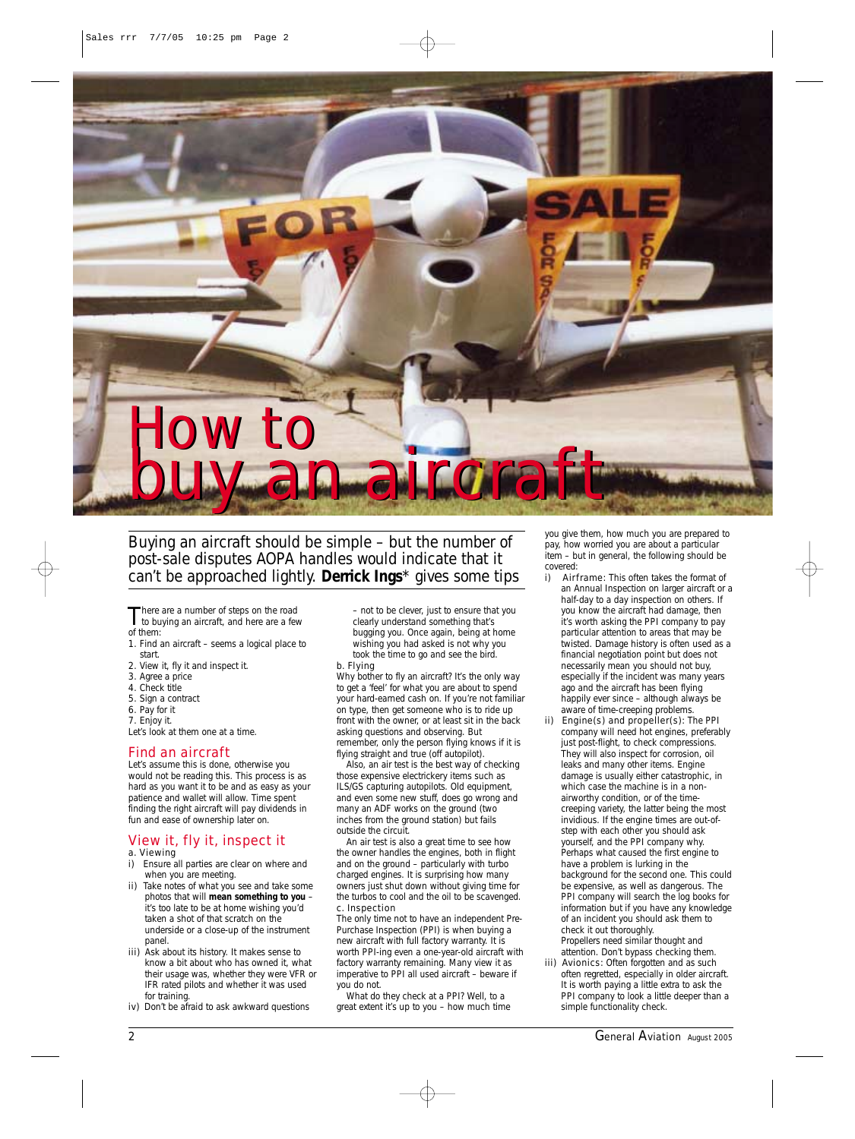

*Buying an aircraft should be simple – but the number of post-sale disputes AOPA handles would indicate that it can't be approached lightly. Derrick Ings\* gives some tips*

There are a number of steps on the road<br>to buying an aircraft, and here are a few of them:

- 1. Find an aircraft seems a logical place to
- start. 2. View it, fly it and inspect it.
- 3. Agree a price
- 
- 4. Check title
- 5. Sign a contract 6. Pay for it
- 7. Enjoy it.

Let's look at them one at a time.

# Find an aircraft

Let's assume this is done, otherwise you would not be reading this. This process is as hard as you want it to be and as easy as your patience and wallet will allow. Time spent finding the right aircraft will pay dividends in fun and ease of ownership later on.

# View it, fly it, inspect it

- a. Viewing
- i) Ensure all parties are clear on where and when you are meeting.
- ii) Take notes of what you see and take some photos that will **mean something to you** – it's too late to be at home wishing you'd taken a shot of that scratch on the underside or a close-up of the instrument panel
- iii) Ask about its history. It makes sense to know a bit about who has owned it, what their usage was, whether they were VFR or IFR rated pilots and whether it was used for training.
- iv) Don't be afraid to ask awkward questions

– not to be clever, just to ensure that you clearly understand something that's bugging you. Once again, being at home wishing you had asked is not why you took the time to go and see the bird.

b. Flying Why bother to fly an aircraft? It's the only way to get a 'feel' for what you are about to spend your hard-earned cash on. If you're not familiar on type, then get someone who is to ride up front with the owner, or at least sit in the back asking questions and observing. But remember, only the person flying knows if it is flying straight and true (off autopilot).

Also, an air test is the best way of checking those expensive electrickery items such as ILS/GS capturing autopilots. Old equipment, and even some new stuff, does go wrong and many an ADF works on the ground (two inches from the ground station) but fails outside the circuit.

An air test is also a great time to see how the owner handles the engines, both in flight and on the ground – particularly with turbo charged engines. It is surprising how many owners just shut down without giving time for the turbos to cool and the oil to be scavenged. c. Inspection

The only time not to have an independent Pre-Purchase Inspection (PPI) is when buying a new aircraft with full factory warranty. It is worth PPI-ing even a one-year-old aircraft with factory warranty remaining. Many view it as imperative to PPI all used aircraft – beware if you do not.

What do they check at a PPI? Well, to a great extent it's up to you – how much time you give them, how much you are prepared to pay, how worried you are about a particular item – but in general, the following should be

- covered:<br>i) Air Airframe: This often takes the format of an Annual Inspection on larger aircraft or a half-day to a day inspection on others. If you know the aircraft had damage, then it's worth asking the PPI company to pay particular attention to areas that may be twisted. Damage history is often used as a financial negotiation point but does not necessarily mean you should not buy, especially if the incident was many years ago and the aircraft has been flying happily ever since – although always be aware of time-creeping problems.
- ii) Engine(s) and propeller(s): The PPI company will need hot engines, preferably just post-flight, to check compressions. They will also inspect for corrosion, oil leaks and many other items. Engine damage is usually either catastrophic, in which case the machine is in a nonairworthy condition, or of the timecreeping variety, the latter being the most invidious. If the engine times are out-ofstep with each other you should ask yourself, and the PPI company why. Perhaps what caused the first engine to have a problem is lurking in the background for the second one. This could be expensive, as well as dangerous. The PPI company will search the log books for information but if you have any knowledge of an incident you should ask them to check it out thoroughly.
- Propellers need similar thought and attention. Don't bypass checking them. iii) Avionics: Often forgotten and as such often regretted, especially in older aircraft. It is worth paying a little extra to ask the PPI company to look a little deeper than a simple functionality check.

2 *General Aviation August 2005*